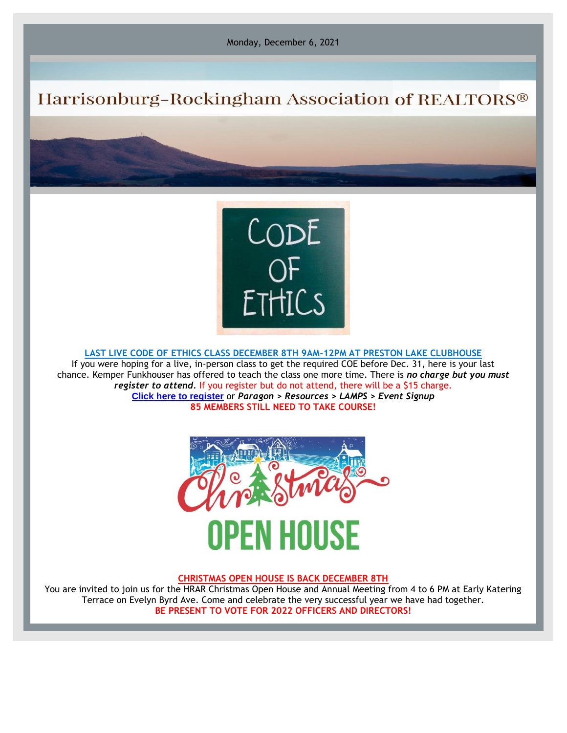Monday, December 6, 2021

## Harrisonburg-Rockingham Association of REALTORS®



**LAST LIVE CODE OF ETHICS CLASS DECEMBER 8TH 9AM-12PM AT PRESTON LAKE CLUBHOUSE**

If you were hoping for a live, in-person class to get the required COE before Dec. 31, here is your last chance. Kemper Funkhouser has offered to teach the class one more time. There is *no charge but you must register to attend.* If you register but do not attend, there will be a \$15 charge. **[Click here to register](https://r20.rs6.net/tn.jsp?f=001gGnJZncrCGWrfbRwd1PMKLZt4e0KdTEyXeo_5Uv05M1ISvcpYMBRnyaUy4UnxCJm3TBSQfGWhv8ji1TLeQ_StSaT7cnNgy2CeHyyyhQmbAeHw93CZIgaeE5Q4miUUTD6nslBD-cyRGzUssiFCs1XnA==&c=L9zaOtvkWzIdGy0uIXuk46C0MN6xIlx5keKnEhzlhqZj-wJ0BIeRmA==&ch=EZJbRhEjsKqVAk_qCkUyy4Lc8mb7SkPhysNNbCtDgxBaJWgx0YyNVw==)** or *Paragon > Resources > LAMPS > Event Signup* **85 MEMBERS STILL NEED TO TAKE COURSE!**



## **CHRISTMAS OPEN HOUSE IS BACK DECEMBER 8TH**

You are invited to join us for the HRAR Christmas Open House and Annual Meeting from 4 to 6 PM at Early Katering Terrace on Evelyn Byrd Ave. Come and celebrate the very successful year we have had together. **BE PRESENT TO VOTE FOR 2022 OFFICERS AND DIRECTORS!**